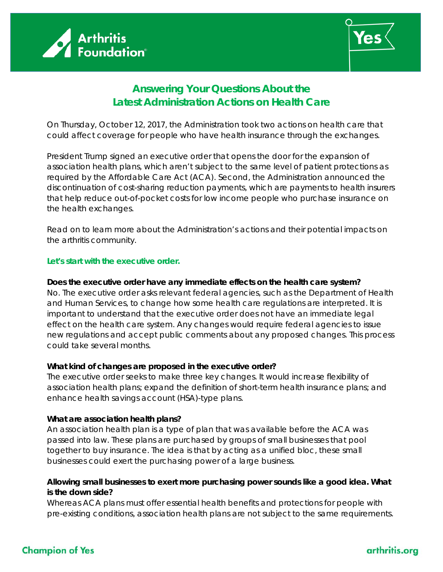



# **Answering Your Questions About the Latest Administration Actions on Health Care**

On Thursday, October 12, 2017, the Administration took two actions on health care that could affect coverage for people who have health insurance through the exchanges.

President Trump signed an executive order that opens the door for the expansion of association health plans, which aren't subject to the same level of patient protections as required by the Affordable Care Act (ACA). Second, the Administration announced the discontinuation of cost-sharing reduction payments, which are payments to health insurers that help reduce out-of-pocket costs for low income people who purchase insurance on the health exchanges.

Read on to learn more about the Administration's actions and their potential impacts on the arthritis community.

# **Let's start with the executive order.**

#### **Does the executive order have any immediate effects on the health care system?**

No. The executive order asks relevant federal agencies, such as the Department of Health and Human Services, to change how some health care regulations are interpreted. It is important to understand that the executive order does not have an immediate legal effect on the health care system. Any changes would require federal agencies to issue new regulations and accept public comments about any proposed changes. This process could take several months.

# **What kind of changes are proposed in the executive order?**

The executive order seeks to make three key changes. It would increase flexibility of association health plans; expand the definition of short-term health insurance plans; and enhance health savings account (HSA)-type plans.

# **What are association health plans?**

An association health plan is a type of plan that was available before the ACA was passed into law. These plans are purchased by groups of small businesses that pool together to buy insurance. The idea is that by acting as a unified bloc, these small businesses could exert the purchasing power of a large business.

# **Allowing small businesses to exert more purchasing power sounds like a good idea. What is the down side?**

Whereas ACA plans must offer essential health benefits and protections for people with pre-existing conditions, association health plans are not subject to the same requirements.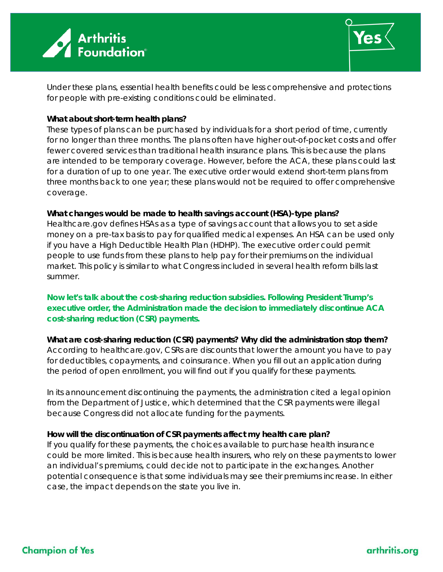



Under these plans, essential health benefits could be less comprehensive and protections for people with pre-existing conditions could be eliminated.

# **What about short-term health plans?**

These types of plans can be purchased by individuals for a short period of time, currently for no longer than three months. The plans often have higher out-of-pocket costs and offer fewer covered services than traditional health insurance plans. This is because the plans are intended to be temporary coverage. However, before the ACA, these plans could last for a duration of up to one year. The executive order would extend short-term plans from three months back to one year; these plans would not be required to offer comprehensive coverage.

#### **What changes would be made to health savings account (HSA)-type plans?**

Healthcare.gov defines HSAs as a type of savings account that allows you to set aside money on a pre-tax basis to pay for qualified medical expenses. An HSA can be used only if you have a High Deductible Health Plan (HDHP). The executive order could permit people to use funds from these plans to help pay for their premiums on the individual market. This policy is similar to what Congress included in several health reform bills last summer.

**Now let's talk about the cost-sharing reduction subsidies. Following President Trump's executive order, the Administration made the decision to immediately discontinue ACA cost-sharing reduction (CSR) payments.**

**What are cost-sharing reduction (CSR) payments? Why did the administration stop them?** According to healthcare.gov, CSRs are discounts that lower the amount you have to pay for deductibles, copayments, and coinsurance. When you fill out an application during the period of open enrollment, you will find out if you qualify for these payments.

In its announcement discontinuing the payments, the administration cited a legal opinion from the Department of Justice, which determined that the CSR payments were illegal because Congress did not allocate funding for the payments.

# **How will the discontinuation of CSR payments affect my health care plan?**

If you qualify for these payments, the choices available to purchase health insurance could be more limited. This is because health insurers, who rely on these payments to lower an individual's premiums, could decide not to participate in the exchanges. Another potential consequence is that some individuals may see their premiums increase. In either case, the impact depends on the state you live in.